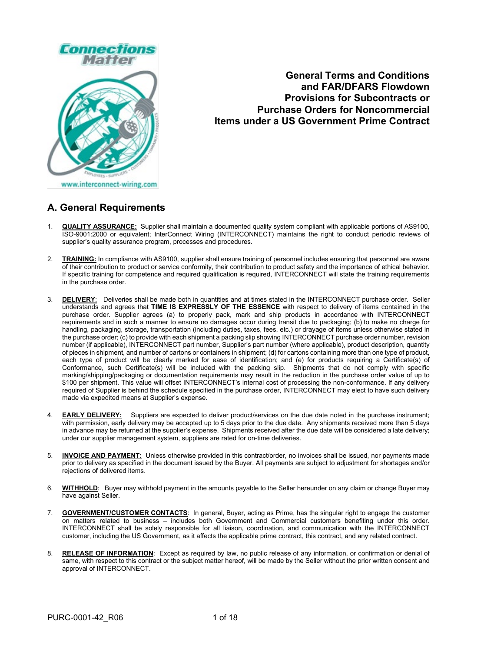

**General Terms and Conditions and FAR/DFARS Flowdown Provisions for Subcontracts or Purchase Orders for Noncommercial Items under a US Government Prime Contract**

# **A. General Requirements**

- 1. **QUALITY ASSURANCE:** Supplier shall maintain a documented quality system compliant with applicable portions of AS9100, ISO-9001:2000 or equivalent; InterConnect Wiring (INTERCONNECT) maintains the right to conduct periodic reviews of supplier's quality assurance program, processes and procedures.
- 2. **TRAINING:** In compliance with AS9100, supplier shall ensure training of personnel includes ensuring that personnel are aware of their contribution to product or service conformity, their contribution to product safety and the importance of ethical behavior. If specific training for competence and required qualification is required, INTERCONNECT will state the training requirements in the purchase order.
- 3. **DELIVERY**: Deliveries shall be made both in quantities and at times stated in the INTERCONNECT purchase order. Seller understands and agrees that **TIME IS EXPRESSLY OF THE ESSENCE** with respect to delivery of items contained in the purchase order. Supplier agrees (a) to properly pack, mark and ship products in accordance with INTERCONNECT requirements and in such a manner to ensure no damages occur during transit due to packaging; (b) to make no charge for handling, packaging, storage, transportation (including duties, taxes, fees, etc.) or drayage of items unless otherwise stated in the purchase order; (c) to provide with each shipment a packing slip showing INTERCONNECT purchase order number, revision number (if applicable), INTERCONNECT part number, Supplier's part number (where applicable), product description, quantity of pieces in shipment, and number of cartons or containers in shipment; (d) for cartons containing more than one type of product, each type of product will be clearly marked for ease of identification; and (e) for products requiring a Certificate(s) of Conformance, such Certificate(s) will be included with the packing slip. Shipments that do not comply with specific marking/shipping/packaging or documentation requirements may result in the reduction in the purchase order value of up to \$100 per shipment. This value will offset INTERCONNECT's internal cost of processing the non-conformance. If any delivery required of Supplier is behind the schedule specified in the purchase order, INTERCONNECT may elect to have such delivery made via expedited means at Supplier's expense.
- 4. **EARLY DELIVERY:** Suppliers are expected to deliver product/services on the due date noted in the purchase instrument; with permission, early delivery may be accepted up to 5 days prior to the due date. Any shipments received more than 5 days in advance may be returned at the supplier's expense. Shipments received after the due date will be considered a late delivery; under our supplier management system, suppliers are rated for on-time deliveries.
- 5. **INVOICE AND PAYMENT:** Unless otherwise provided in this contract/order, no invoices shall be issued, nor payments made prior to delivery as specified in the document issued by the Buyer. All payments are subject to adjustment for shortages and/or rejections of delivered items.
- 6. **WITHHOLD**: Buyer may withhold payment in the amounts payable to the Seller hereunder on any claim or change Buyer may have against Seller.
- 7. **GOVERNMENT/CUSTOMER CONTACTS**: In general, Buyer, acting as Prime, has the singular right to engage the customer on matters related to business – includes both Government and Commercial customers benefiting under this order. INTERCONNECT shall be solely responsible for all liaison, coordination, and communication with the INTERCONNECT customer, including the US Government, as it affects the applicable prime contract, this contract, and any related contract.
- 8. **RELEASE OF INFORMATION**: Except as required by law, no public release of any information, or confirmation or denial of same, with respect to this contract or the subject matter hereof, will be made by the Seller without the prior written consent and approval of INTERCONNECT.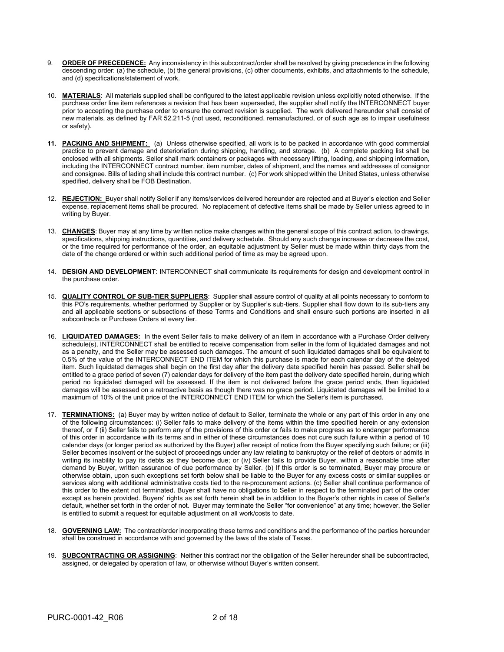- 9. **ORDER OF PRECEDENCE:** Any inconsistency in this subcontract/order shall be resolved by giving precedence in the following descending order: (a) the schedule, (b) the general provisions, (c) other documents, exhibits, and attachments to the schedule, and (d) specifications/statement of work.
- 10. **MATERIALS**: All materials supplied shall be configured to the latest applicable revision unless explicitly noted otherwise. If the purchase order line item references a revision that has been superseded, the supplier shall notify the INTERCONNECT buyer prior to accepting the purchase order to ensure the correct revision is supplied. The work delivered hereunder shall consist of new materials, as defined by FAR 52.211-5 (not used, reconditioned, remanufactured, or of such age as to impair usefulness or safety).
- **11. PACKING AND SHIPMENT:** (a) Unless otherwise specified, all work is to be packed in accordance with good commercial practice to prevent damage and deterioriation during shipping, handling, and storage. (b) A complete packing list shall be enclosed with all shipments. Seller shall mark containers or packages with necessary lifting, loading, and shipping information, including the INTERCONNECT contract number, item number, dates of shipment, and the names and addresses of consignor and consignee. Bills of lading shall include this contract number. (c) For work shipped within the United States, unless otherwise spedified, delivery shall be FOB Destination.
- 12. **REJECTION:** Buyer shall notify Seller if any items/services delivered hereunder are rejected and at Buyer's election and Seller expense, replacement items shall be procured. No replacement of defective items shall be made by Seller unless agreed to in writing by Buyer.
- 13. **CHANGES**: Buyer may at any time by written notice make changes within the general scope of this contract action, to drawings, specifications, shipping instructions, quantities, and delivery schedule. Should any such change increase or decrease the cost, or the time required for performance of the order, an equitable adjustment by Seller must be made within thirty days from the date of the change ordered or within such additional period of time as may be agreed upon.
- 14. **DESIGN AND DEVELOPMENT**: INTERCONNECT shall communicate its requirements for design and development control in the purchase order.
- 15. **QUALITY CONTROL OF SUB-TIER SUPPLIERS**: Supplier shall assure control of quality at all points necessary to conform to this PO's requirements, whether performed by Supplier or by Supplier's sub-tiers. Supplier shall flow down to its sub-tiers any and all applicable sections or subsections of these Terms and Conditions and shall ensure such portions are inserted in all subcontracts or Purchase Orders at every tier.
- 16. **LIQUIDATED DAMAGES:** In the event Seller fails to make delivery of an item in accordance with a Purchase Order delivery schedule(s), INTERCONNECT shall be entitled to receive compensation from seller in the form of liquidated damages and not as a penalty, and the Seller may be assessed such damages. The amount of such liquidated damages shall be equivalent to 0.5% of the value of the INTERCONNECT END ITEM for which this purchase is made for each calendar day of the delayed item. Such liquidated damages shall begin on the first day after the delivery date specified herein has passed. Seller shall be entitled to a grace period of seven (7) calendar days for delivery of the item past the delivery date specified herein, during which period no liquidated damaged will be assessed. If the item is not delivered before the grace period ends, then liquidated damages will be assessed on a retroactive basis as though there was no grace period. Liquidated damages will be limited to a maximum of 10% of the unit price of the INTERCONNECT END ITEM for which the Seller's item is purchased.
- 17. **TERMINATIONS:** (a) Buyer may by written notice of default to Seller, terminate the whole or any part of this order in any one of the following circumstances: (i) Seller fails to make delivery of the items within the time specified herein or any extension thereof, or if (ii) Seller fails to perform any of the provisions of this order or fails to make progress as to endanger performance of this order in accordance with its terms and in either of these circumstances does not cure such failure within a period of 10 calendar days (or longer period as authorized by the Buyer) after receipt of notice from the Buyer specifying such failure; or (iii) Seller becomes insolvent or the subject of proceedings under any law relating to bankruptcy or the relief of debtors or admits in writing its inability to pay its debts as they become due; or (iv) Seller fails to provide Buyer, within a reasonable time after demand by Buyer, written assurance of due performance by Seller. (b) If this order is so terminated, Buyer may procure or otherwise obtain, upon such exceptions set forth below shall be liable to the Buyer for any excess costs or similar supplies or services along with additional administrative costs tied to the re-procurement actions. (c) Seller shall continue performance of this order to the extent not terminated. Buyer shall have no obligations to Seller in respect to the terminated part of the order except as herein provided. Buyers' rights as set forth herein shall be in addition to the Buyer's other rights in case of Seller's default, whether set forth in the order of not. Buyer may terminate the Seller "for convenience" at any time; however, the Seller is entitled to submit a request for equitable adjustment on all work/costs to date.
- 18. **GOVERNING LAW:** The contract/order incorporating these terms and conditions and the performance of the parties hereunder shall be construed in accordance with and governed by the laws of the state of Texas.
- 19. **SUBCONTRACTING OR ASSIGNING**: Neither this contract nor the obligation of the Seller hereunder shall be subcontracted, assigned, or delegated by operation of law, or otherwise without Buyer's written consent.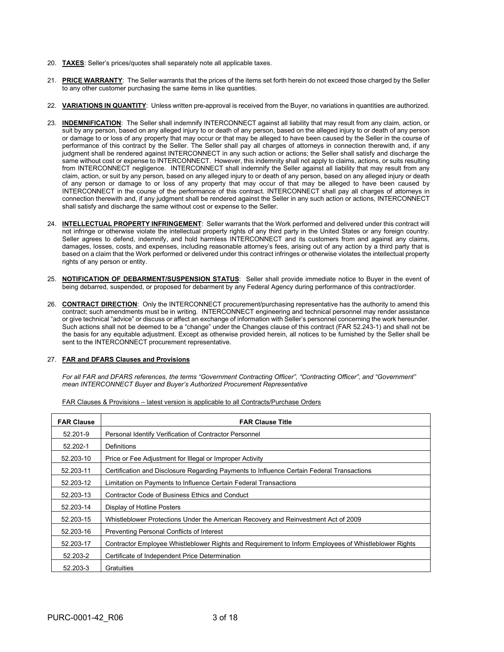- 20. **TAXES**: Seller's prices/quotes shall separately note all applicable taxes.
- 21. **PRICE WARRANTY**: The Seller warrants that the prices of the items set forth herein do not exceed those charged by the Seller to any other customer purchasing the same items in like quantities.
- 22. **VARIATIONS IN QUANTITY**: Unless written pre-approval is received from the Buyer, no variations in quantities are authorized.
- 23. **INDEMNIFICATION**: The Seller shall indemnify INTERCONNECT against all liability that may result from any claim, action, or suit by any person, based on any alleged injury to or death of any person, based on the alleged injury to or death of any person or damage to or loss of any property that may occur or that may be alleged to have been caused by the Seller in the course of performance of this contract by the Seller. The Seller shall pay all charges of attorneys in connection therewith and, if any judgment shall be rendered against INTERCONNECT in any such action or actions; the Seller shall satisfy and discharge the same without cost or expense to INTERCONNECT. However, this indemnity shall not apply to claims, actions, or suits resulting from INTERCONNECT negligence. INTERCONNECT shall indemnify the Seller against all liability that may result from any claim, action, or suit by any person, based on any alleged injury to or death of any person, based on any alleged injury or death of any person or damage to or loss of any property that may occur of that may be alleged to have been caused by INTERCONNECT in the course of the performance of this contract. INTERCONNECT shall pay all charges of attorneys in connection therewith and, if any judgment shall be rendered against the Seller in any such action or actions, INTERCONNECT shall satisfy and discharge the same without cost or expense to the Seller.
- 24. **INTELLECTUAL PROPERTY INFRINGEMENT**: Seller warrants that the Work performed and delivered under this contract will not infringe or otherwise violate the intellectual property rights of any third party in the United States or any foreign country. Seller agrees to defend, indemnify, and hold harmless INTERCONNECT and its customers from and against any claims, damages, losses, costs, and expenses, including reasonable attorney's fees, arising out of any action by a third party that is based on a claim that the Work performed or delivered under this contract infringes or otherwise violates the intellectual property rights of any person or entity.
- 25. **NOTIFICATION OF DEBARMENT/SUSPENSION STATUS**: Seller shall provide immediate notice to Buyer in the event of being debarred, suspended, or proposed for debarment by any Federal Agency during performance of this contract/order.
- 26. **CONTRACT DIRECTION**: Only the INTERCONNECT procurement/purchasing representative has the authority to amend this contract; such amendments must be in writing. INTERCONNECT engineering and technical personnel may render assistance or give technical "advice" or discuss or affect an exchange of information with Seller's personnel concerning the work hereunder. Such actions shall not be deemed to be a "change" under the Changes clause of this contract (FAR 52.243-1) and shall not be the basis for any equitable adjustment. Except as otherwise provided herein, all notices to be furnished by the Seller shall be sent to the INTERCONNECT procurement representative.

#### 27. **FAR and DFARS Clauses and Provisions**

*For all FAR and DFARS references, the terms "Government Contracting Officer", "Contracting Officer", and "Government" mean INTERCONNECT Buyer and Buyer's Authorized Procurement Representative*

| <b>FAR Clause</b> | <b>FAR Clause Title</b>                                                                              |
|-------------------|------------------------------------------------------------------------------------------------------|
| 52.201-9          | Personal Identify Verification of Contractor Personnel                                               |
| 52.202-1          | Definitions                                                                                          |
| 52.203-10         | Price or Fee Adjustment for Illegal or Improper Activity                                             |
| 52.203-11         | Certification and Disclosure Regarding Payments to Influence Certain Federal Transactions            |
| 52.203-12         | Limitation on Payments to Influence Certain Federal Transactions                                     |
| 52.203-13         | Contractor Code of Business Ethics and Conduct                                                       |
| 52.203-14         | Display of Hotline Posters                                                                           |
| 52.203-15         | Whistleblower Protections Under the American Recovery and Reinvestment Act of 2009                   |
| 52.203-16         | Preventing Personal Conflicts of Interest                                                            |
| 52.203-17         | Contractor Employee Whistleblower Rights and Requirement to Inform Employees of Whistleblower Rights |
| 52.203-2          | Certificate of Independent Price Determination                                                       |
| 52.203-3          | Gratuities                                                                                           |

FAR Clauses & Provisions – latest version is applicable to all Contracts/Purchase Orders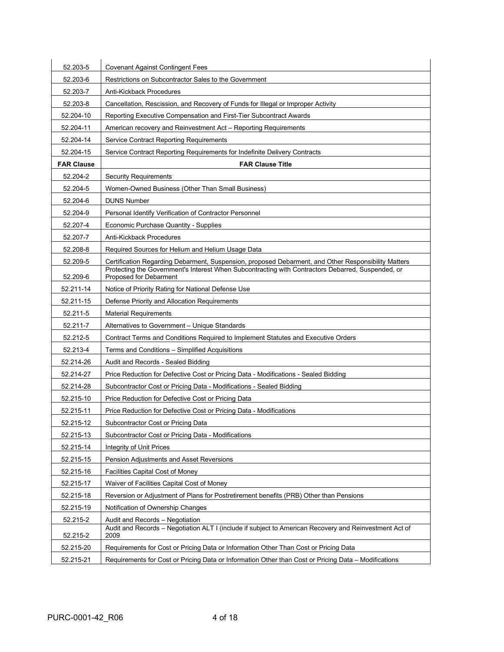| 52.203-5          | <b>Covenant Against Contingent Fees</b>                                                                                                   |
|-------------------|-------------------------------------------------------------------------------------------------------------------------------------------|
| 52.203-6          | Restrictions on Subcontractor Sales to the Government                                                                                     |
| 52.203-7          | Anti-Kickback Procedures                                                                                                                  |
| 52.203-8          | Cancellation, Rescission, and Recovery of Funds for Illegal or Improper Activity                                                          |
| 52.204-10         | Reporting Executive Compensation and First-Tier Subcontract Awards                                                                        |
| 52.204-11         | American recovery and Reinvestment Act - Reporting Requirements                                                                           |
| 52.204-14         | <b>Service Contract Reporting Requirements</b>                                                                                            |
| 52.204-15         | Service Contract Reporting Requirements for Indefinite Delivery Contracts                                                                 |
| <b>FAR Clause</b> | <b>FAR Clause Title</b>                                                                                                                   |
| 52.204-2          | <b>Security Requirements</b>                                                                                                              |
| 52.204-5          | Women-Owned Business (Other Than Small Business)                                                                                          |
| 52.204-6          | <b>DUNS Number</b>                                                                                                                        |
| 52.204-9          | Personal Identify Verification of Contractor Personnel                                                                                    |
| 52.207-4          | Economic Purchase Quantity - Supplies                                                                                                     |
| 52.207-7          | Anti-Kickback Procedures                                                                                                                  |
| 52.208-8          | Required Sources for Helium and Helium Usage Data                                                                                         |
| 52.209-5          | Certification Regarding Debarment, Suspension, proposed Debarment, and Other Responsibility Matters                                       |
| 52.209-6          | Protecting the Government's Interest When Subcontracting with Contractors Debarred, Suspended, or<br>Proposed for Debarment               |
| 52.211-14         | Notice of Priority Rating for National Defense Use                                                                                        |
| 52.211-15         | Defense Priority and Allocation Requirements                                                                                              |
| 52.211-5          | <b>Material Requirements</b>                                                                                                              |
| 52.211-7          | Alternatives to Government – Unique Standards                                                                                             |
| 52.212-5          | Contract Terms and Conditions Required to Implement Statutes and Executive Orders                                                         |
| 52.213-4          | Terms and Conditions - Simplified Acquisitions                                                                                            |
| 52.214-26         | Audit and Records - Sealed Bidding                                                                                                        |
| 52.214-27         | Price Reduction for Defective Cost or Pricing Data - Modifications - Sealed Bidding                                                       |
| 52.214-28         | Subcontractor Cost or Pricing Data - Modifications - Sealed Bidding                                                                       |
| 52.215-10         | Price Reduction for Defective Cost or Pricing Data                                                                                        |
| 52.215-11         | Price Reduction for Defective Cost or Pricing Data - Modifications                                                                        |
| 52.215-12         | Subcontractor Cost or Pricing Data                                                                                                        |
| 52.215-13         | Subcontractor Cost or Pricing Data - Modifications                                                                                        |
| 52.215-14         | Integrity of Unit Prices                                                                                                                  |
| 52.215-15         | Pension Adjustments and Asset Reversions                                                                                                  |
| 52.215-16         | Facilities Capital Cost of Money                                                                                                          |
| 52.215-17         | Waiver of Facilities Capital Cost of Money                                                                                                |
| 52.215-18         | Reversion or Adjustment of Plans for Postretirement benefits (PRB) Other than Pensions                                                    |
| 52.215-19         | Notification of Ownership Changes                                                                                                         |
| 52.215-2          | Audit and Records - Negotiation<br>Audit and Records - Negotiation ALT I (include if subject to American Recovery and Reinvestment Act of |
| 52.215-2          | 2009                                                                                                                                      |
| 52.215-20         | Requirements for Cost or Pricing Data or Information Other Than Cost or Pricing Data                                                      |
| 52.215-21         | Requirements for Cost or Pricing Data or Information Other than Cost or Pricing Data - Modifications                                      |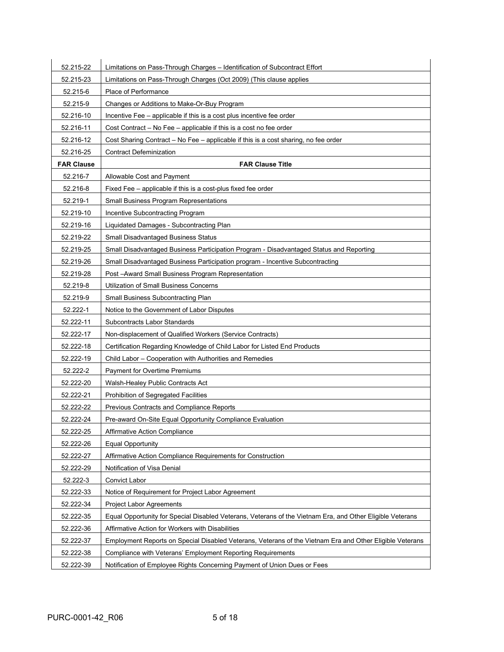| 52.215-22         | Limitations on Pass-Through Charges - Identification of Subcontract Effort                                |
|-------------------|-----------------------------------------------------------------------------------------------------------|
| 52.215-23         | Limitations on Pass-Through Charges (Oct 2009) (This clause applies                                       |
| 52.215-6          | Place of Performance                                                                                      |
| 52.215-9          | Changes or Additions to Make-Or-Buy Program                                                               |
| 52.216-10         | Incentive Fee - applicable if this is a cost plus incentive fee order                                     |
| 52.216-11         | Cost Contract - No Fee - applicable if this is a cost no fee order                                        |
| 52.216-12         | Cost Sharing Contract - No Fee - applicable if this is a cost sharing, no fee order                       |
| 52.216-25         | <b>Contract Defeminization</b>                                                                            |
| <b>FAR Clause</b> | <b>FAR Clause Title</b>                                                                                   |
| 52.216-7          | Allowable Cost and Payment                                                                                |
| 52.216-8          | Fixed Fee - applicable if this is a cost-plus fixed fee order                                             |
| 52.219-1          | Small Business Program Representations                                                                    |
| 52.219-10         | Incentive Subcontracting Program                                                                          |
| 52.219-16         | Liquidated Damages - Subcontracting Plan                                                                  |
| 52.219-22         | Small Disadvantaged Business Status                                                                       |
| 52.219-25         | Small Disadvantaged Business Participation Program - Disadvantaged Status and Reporting                   |
| 52.219-26         | Small Disadvantaged Business Participation program - Incentive Subcontracting                             |
| 52.219-28         | Post -Award Small Business Program Representation                                                         |
| 52.219-8          | Utilization of Small Business Concerns                                                                    |
| 52.219-9          | Small Business Subcontracting Plan                                                                        |
| 52.222-1          | Notice to the Government of Labor Disputes                                                                |
| 52.222-11         | Subcontracts Labor Standards                                                                              |
| 52.222-17         | Non-displacement of Qualified Workers (Service Contracts)                                                 |
| 52.222-18         | Certification Regarding Knowledge of Child Labor for Listed End Products                                  |
| 52.222-19         | Child Labor - Cooperation with Authorities and Remedies                                                   |
| 52.222-2          | <b>Payment for Overtime Premiums</b>                                                                      |
| 52.222-20         | Walsh-Healey Public Contracts Act                                                                         |
| 52.222-21         | Prohibition of Segregated Facilities                                                                      |
| 52.222-22         | Previous Contracts and Compliance Reports                                                                 |
| 52.222-24         | Pre-award On-Site Equal Opportunity Compliance Evaluation                                                 |
| 52.222-25         | <b>Affirmative Action Compliance</b>                                                                      |
| 52.222-26         | <b>Equal Opportunity</b>                                                                                  |
| 52.222-27         | Affirmative Action Compliance Requirements for Construction                                               |
| 52.222-29         | Notification of Visa Denial                                                                               |
| 52.222-3          | Convict Labor                                                                                             |
| 52.222-33         | Notice of Requirement for Project Labor Agreement                                                         |
| 52.222-34         | <b>Project Labor Agreements</b>                                                                           |
| 52.222-35         | Equal Opportunity for Special Disabled Veterans, Veterans of the Vietnam Era, and Other Eligible Veterans |
| 52.222-36         | Affirmative Action for Workers with Disabilities                                                          |
| 52.222-37         | Employment Reports on Special Disabled Veterans, Veterans of the Vietnam Era and Other Eligible Veterans  |
| 52.222-38         | Compliance with Veterans' Employment Reporting Requirements                                               |
| 52.222-39         | Notification of Employee Rights Concerning Payment of Union Dues or Fees                                  |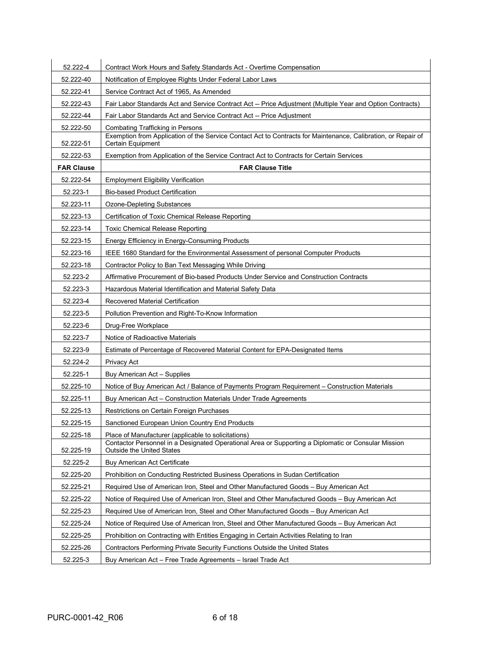| 52.222-4          | Contract Work Hours and Safety Standards Act - Overtime Compensation                                                                    |
|-------------------|-----------------------------------------------------------------------------------------------------------------------------------------|
| 52.222-40         | Notification of Employee Rights Under Federal Labor Laws                                                                                |
| 52.222-41         | Service Contract Act of 1965, As Amended                                                                                                |
| 52.222-43         | Fair Labor Standards Act and Service Contract Act -- Price Adjustment (Multiple Year and Option Contracts)                              |
| 52.222-44         | Fair Labor Standards Act and Service Contract Act -- Price Adjustment                                                                   |
| 52.222-50         | <b>Combating Trafficking in Persons</b>                                                                                                 |
| 52.222-51         | Exemption from Application of the Service Contact Act to Contracts for Maintenance, Calibration, or Repair of<br>Certain Equipment      |
| 52.222-53         | Exemption from Application of the Service Contract Act to Contracts for Certain Services                                                |
| <b>FAR Clause</b> | <b>FAR Clause Title</b>                                                                                                                 |
| 52.222-54         | <b>Employment Eligibility Verification</b>                                                                                              |
| 52.223-1          | <b>Bio-based Product Certification</b>                                                                                                  |
| 52.223-11         | <b>Ozone-Depleting Substances</b>                                                                                                       |
| 52.223-13         | Certification of Toxic Chemical Release Reporting                                                                                       |
| 52.223-14         | <b>Toxic Chemical Release Reporting</b>                                                                                                 |
| 52.223-15         | Energy Efficiency in Energy-Consuming Products                                                                                          |
| 52.223-16         | IEEE 1680 Standard for the Environmental Assessment of personal Computer Products                                                       |
| 52.223-18         | Contractor Policy to Ban Text Messaging While Driving                                                                                   |
| 52.223-2          | Affirmative Procurement of Bio-based Products Under Service and Construction Contracts                                                  |
| 52.223-3          | Hazardous Material Identification and Material Safety Data                                                                              |
| 52.223-4          | Recovered Material Certification                                                                                                        |
| 52.223-5          | Pollution Prevention and Right-To-Know Information                                                                                      |
| 52.223-6          | Drug-Free Workplace                                                                                                                     |
| 52.223-7          | Notice of Radioactive Materials                                                                                                         |
| 52.223-9          | Estimate of Percentage of Recovered Material Content for EPA-Designated Items                                                           |
| 52.224-2          | Privacy Act                                                                                                                             |
| 52.225-1          | Buy American Act - Supplies                                                                                                             |
| 52.225-10         | Notice of Buy American Act / Balance of Payments Program Requirement – Construction Materials                                           |
| 52.225-11         | Buy American Act – Construction Materials Under Trade Agreements                                                                        |
| 52.225-13         | Restrictions on Certain Foreign Purchases                                                                                               |
| 52.225-15         | Sanctioned European Union Country End Products                                                                                          |
| 52.225-18         | Place of Manufacturer (applicable to solicitations)                                                                                     |
| 52.225-19         | Contactor Personnel in a Designated Operational Area or Supporting a Diplomatic or Consular Mission<br><b>Outside the United States</b> |
| 52.225-2          | <b>Buy American Act Certificate</b>                                                                                                     |
| 52.225-20         | Prohibition on Conducting Restricted Business Operations in Sudan Certification                                                         |
| 52.225-21         | Required Use of American Iron, Steel and Other Manufactured Goods - Buy American Act                                                    |
| 52.225-22         | Notice of Required Use of American Iron, Steel and Other Manufactured Goods - Buy American Act                                          |
| 52.225-23         | Required Use of American Iron, Steel and Other Manufactured Goods - Buy American Act                                                    |
| 52.225-24         | Notice of Required Use of American Iron, Steel and Other Manufactured Goods - Buy American Act                                          |
| 52.225-25         | Prohibition on Contracting with Entities Engaging in Certain Activities Relating to Iran                                                |
| 52.225-26         | Contractors Performing Private Security Functions Outside the United States                                                             |
| 52.225-3          | Buy American Act - Free Trade Agreements - Israel Trade Act                                                                             |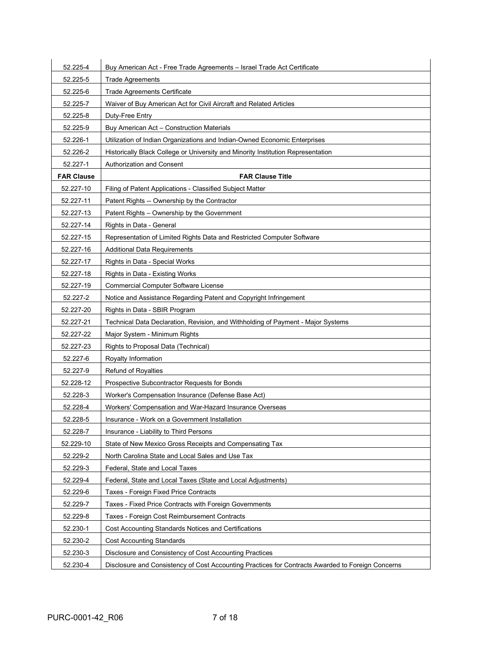| 52.225-4          | Buy American Act - Free Trade Agreements - Israel Trade Act Certificate                           |
|-------------------|---------------------------------------------------------------------------------------------------|
| 52.225-5          | <b>Trade Agreements</b>                                                                           |
| 52.225-6          | Trade Agreements Certificate                                                                      |
| 52.225-7          | Waiver of Buy American Act for Civil Aircraft and Related Articles                                |
| 52.225-8          | Duty-Free Entry                                                                                   |
| 52.225-9          | Buy American Act - Construction Materials                                                         |
| 52.226-1          | Utilization of Indian Organizations and Indian-Owned Economic Enterprises                         |
| 52.226-2          | Historically Black College or University and Minority Institution Representation                  |
| 52.227-1          | Authorization and Consent                                                                         |
| <b>FAR Clause</b> | <b>FAR Clause Title</b>                                                                           |
| 52.227-10         | Filing of Patent Applications - Classified Subject Matter                                         |
| 52.227-11         | Patent Rights -- Ownership by the Contractor                                                      |
| 52.227-13         | Patent Rights - Ownership by the Government                                                       |
| 52.227-14         | Rights in Data - General                                                                          |
| 52.227-15         | Representation of Limited Rights Data and Restricted Computer Software                            |
| 52.227-16         | <b>Additional Data Requirements</b>                                                               |
| 52.227-17         | Rights in Data - Special Works                                                                    |
| 52.227-18         | Rights in Data - Existing Works                                                                   |
| 52.227-19         | <b>Commercial Computer Software License</b>                                                       |
| 52.227-2          | Notice and Assistance Regarding Patent and Copyright Infringement                                 |
| 52.227-20         | Rights in Data - SBIR Program                                                                     |
| 52.227-21         | Technical Data Declaration, Revision, and Withholding of Payment - Major Systems                  |
| 52.227-22         | Major System - Minimum Rights                                                                     |
| 52.227-23         | Rights to Proposal Data (Technical)                                                               |
| 52.227-6          | Royalty Information                                                                               |
| 52.227-9          | <b>Refund of Royalties</b>                                                                        |
| 52.228-12         | Prospective Subcontractor Requests for Bonds                                                      |
| 52.228-3          | Worker's Compensation Insurance (Defense Base Act)                                                |
| 52.228-4          | Workers' Compensation and War-Hazard Insurance Overseas                                           |
| 52.228-5          | Insurance - Work on a Government Installation                                                     |
| 52.228-7          | Insurance - Liability to Third Persons                                                            |
| 52.229-10         | State of New Mexico Gross Receipts and Compensating Tax                                           |
| 52.229-2          | North Carolina State and Local Sales and Use Tax                                                  |
| 52.229-3          | Federal, State and Local Taxes                                                                    |
| 52.229-4          | Federal, State and Local Taxes (State and Local Adjustments)                                      |
| 52.229-6          | Taxes - Foreign Fixed Price Contracts                                                             |
| 52.229-7          | Taxes - Fixed Price Contracts with Foreign Governments                                            |
| 52.229-8          | Taxes - Foreign Cost Reimbursement Contracts                                                      |
| 52.230-1          | <b>Cost Accounting Standards Notices and Certifications</b>                                       |
| 52.230-2          | <b>Cost Accounting Standards</b>                                                                  |
| 52.230-3          | Disclosure and Consistency of Cost Accounting Practices                                           |
| 52.230-4          | Disclosure and Consistency of Cost Accounting Practices for Contracts Awarded to Foreign Concerns |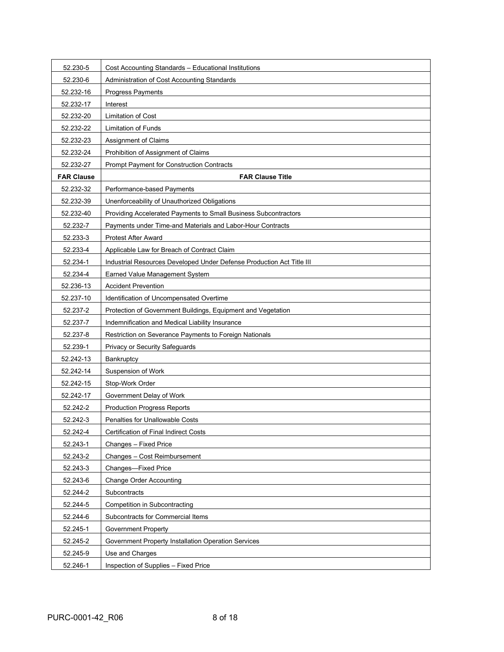| 52.230-5          | Cost Accounting Standards - Educational Institutions                  |
|-------------------|-----------------------------------------------------------------------|
| 52.230-6          | Administration of Cost Accounting Standards                           |
| 52.232-16         | Progress Payments                                                     |
| 52.232-17         | Interest                                                              |
| 52.232-20         | <b>Limitation of Cost</b>                                             |
| 52.232-22         | <b>Limitation of Funds</b>                                            |
| 52.232-23         | Assignment of Claims                                                  |
| 52.232-24         | Prohibition of Assignment of Claims                                   |
| 52.232-27         | Prompt Payment for Construction Contracts                             |
| <b>FAR Clause</b> | <b>FAR Clause Title</b>                                               |
| 52.232-32         | Performance-based Payments                                            |
| 52.232-39         | Unenforceability of Unauthorized Obligations                          |
| 52.232-40         | Providing Accelerated Payments to Small Business Subcontractors       |
| 52.232-7          | Payments under Time-and Materials and Labor-Hour Contracts            |
| 52.233-3          | <b>Protest After Award</b>                                            |
| 52.233-4          | Applicable Law for Breach of Contract Claim                           |
| 52.234-1          | Industrial Resources Developed Under Defense Production Act Title III |
| 52.234-4          | Earned Value Management System                                        |
| 52.236-13         | <b>Accident Prevention</b>                                            |
| 52.237-10         | Identification of Uncompensated Overtime                              |
| 52.237-2          | Protection of Government Buildings, Equipment and Vegetation          |
| 52.237-7          | Indemnification and Medical Liability Insurance                       |
| 52.237-8          | Restriction on Severance Payments to Foreign Nationals                |
| 52.239-1          | Privacy or Security Safeguards                                        |
| 52.242-13         | Bankruptcy                                                            |
| 52.242-14         | Suspension of Work                                                    |
| 52.242-15         | Stop-Work Order                                                       |
| 52.242-17         | Government Delay of Work                                              |
| 52.242-2          | <b>Production Progress Reports</b>                                    |
| 52.242-3          | <b>Penalties for Unallowable Costs</b>                                |
| 52.242-4          | Certification of Final Indirect Costs                                 |
| 52.243-1          | Changes - Fixed Price                                                 |
| 52.243-2          | Changes - Cost Reimbursement                                          |
| 52.243-3          | Changes-Fixed Price                                                   |
| 52.243-6          | <b>Change Order Accounting</b>                                        |
| 52.244-2          | Subcontracts                                                          |
| 52.244-5          | Competition in Subcontracting                                         |
| 52.244-6          | Subcontracts for Commercial Items                                     |
| 52.245-1          | <b>Government Property</b>                                            |
| 52.245-2          | Government Property Installation Operation Services                   |
| 52.245-9          | Use and Charges                                                       |
| 52.246-1          | Inspection of Supplies - Fixed Price                                  |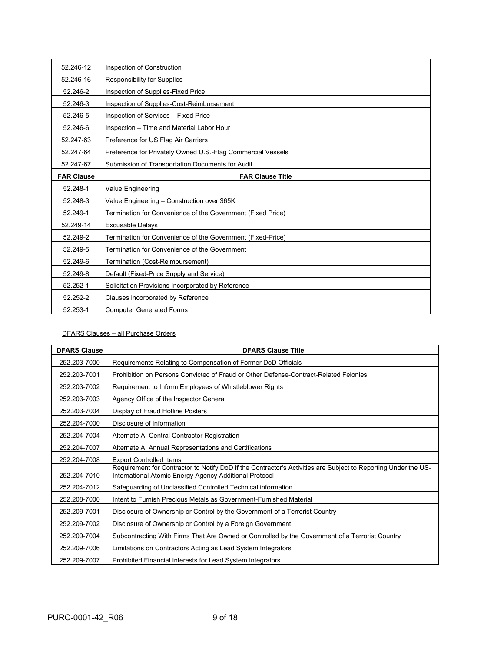| 52.246-12         | Inspection of Construction                                  |
|-------------------|-------------------------------------------------------------|
| 52.246-16         | Responsibility for Supplies                                 |
| 52.246-2          | Inspection of Supplies-Fixed Price                          |
| 52.246-3          | Inspection of Supplies-Cost-Reimbursement                   |
| 52.246-5          | Inspection of Services - Fixed Price                        |
| 52.246-6          | Inspection - Time and Material Labor Hour                   |
| 52.247-63         | Preference for US Flag Air Carriers                         |
| 52.247-64         | Preference for Privately Owned U.S.-Flag Commercial Vessels |
| 52.247-67         | Submission of Transportation Documents for Audit            |
| <b>FAR Clause</b> | <b>FAR Clause Title</b>                                     |
| 52.248-1          | Value Engineering                                           |
| 52.248-3          | Value Engineering - Construction over \$65K                 |
| 52.249-1          | Termination for Convenience of the Government (Fixed Price) |
| 52.249-14         | <b>Excusable Delays</b>                                     |
| 52.249-2          | Termination for Convenience of the Government (Fixed-Price) |
| 52.249-5          | Termination for Convenience of the Government               |
| 52.249-6          | Termination (Cost-Reimbursement)                            |
| 52.249-8          | Default (Fixed-Price Supply and Service)                    |
| 52.252-1          | Solicitation Provisions Incorporated by Reference           |
| 52.252-2          | Clauses incorporated by Reference                           |
| 52.253-1          | <b>Computer Generated Forms</b>                             |

### DFARS Clauses – all Purchase Orders

| <b>DFARS Clause</b> | <b>DFARS Clause Title</b>                                                                                                                                                |
|---------------------|--------------------------------------------------------------------------------------------------------------------------------------------------------------------------|
| 252.203-7000        | Requirements Relating to Compensation of Former DoD Officials                                                                                                            |
| 252.203-7001        | Prohibition on Persons Convicted of Fraud or Other Defense-Contract-Related Felonies                                                                                     |
| 252.203-7002        | Requirement to Inform Employees of Whistleblower Rights                                                                                                                  |
| 252.203-7003        | Agency Office of the Inspector General                                                                                                                                   |
| 252.203-7004        | Display of Fraud Hotline Posters                                                                                                                                         |
| 252.204-7000        | Disclosure of Information                                                                                                                                                |
| 252.204-7004        | Alternate A, Central Contractor Registration                                                                                                                             |
| 252.204-7007        | Alternate A, Annual Representations and Certifications                                                                                                                   |
| 252.204-7008        | <b>Export Controlled Items</b>                                                                                                                                           |
| 252.204-7010        | Requirement for Contractor to Notify DoD if the Contractor's Activities are Subject to Reporting Under the US-<br>International Atomic Energy Agency Additional Protocol |
| 252.204-7012        | Safeguarding of Unclassified Controlled Technical information                                                                                                            |
| 252.208-7000        | Intent to Furnish Precious Metals as Government-Furnished Material                                                                                                       |
| 252.209-7001        | Disclosure of Ownership or Control by the Government of a Terrorist Country                                                                                              |
| 252.209-7002        | Disclosure of Ownership or Control by a Foreign Government                                                                                                               |
| 252.209-7004        | Subcontracting With Firms That Are Owned or Controlled by the Government of a Terrorist Country                                                                          |
| 252.209-7006        | Limitations on Contractors Acting as Lead System Integrators                                                                                                             |
| 252.209-7007        | Prohibited Financial Interests for Lead System Integrators                                                                                                               |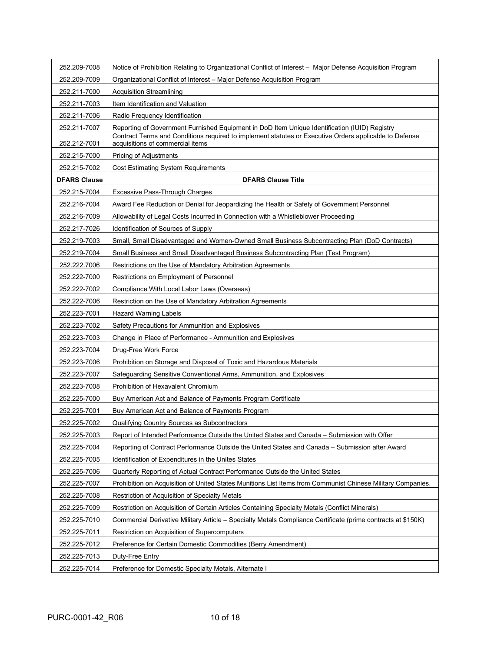| 252.209-7008        | Notice of Prohibition Relating to Organizational Conflict of Interest – Major Defense Acquisition Program                                  |
|---------------------|--------------------------------------------------------------------------------------------------------------------------------------------|
| 252.209-7009        | Organizational Conflict of Interest - Major Defense Acquisition Program                                                                    |
| 252.211-7000        | <b>Acquisition Streamlining</b>                                                                                                            |
| 252.211-7003        | Item Identification and Valuation                                                                                                          |
| 252.211-7006        | Radio Frequency Identification                                                                                                             |
| 252.211-7007        | Reporting of Government Furnished Equipment in DoD Item Unique Identification (IUID) Registry                                              |
| 252.212-7001        | Contract Terms and Conditions required to implement statutes or Executive Orders applicable to Defense<br>acquisitions of commercial items |
| 252.215-7000        | Pricing of Adjustments                                                                                                                     |
| 252.215-7002        | <b>Cost Estimating System Requirements</b>                                                                                                 |
| <b>DFARS Clause</b> | <b>DFARS Clause Title</b>                                                                                                                  |
| 252.215-7004        | Excessive Pass-Through Charges                                                                                                             |
| 252.216-7004        | Award Fee Reduction or Denial for Jeopardizing the Health or Safety of Government Personnel                                                |
| 252.216-7009        | Allowability of Legal Costs Incurred in Connection with a Whistleblower Proceeding                                                         |
| 252.217-7026        | Identification of Sources of Supply                                                                                                        |
| 252.219-7003        | Small, Small Disadvantaged and Women-Owned Small Business Subcontracting Plan (DoD Contracts)                                              |
| 252.219-7004        | Small Business and Small Disadvantaged Business Subcontracting Plan (Test Program)                                                         |
| 252.222.7006        | Restrictions on the Use of Mandatory Arbitration Agreements                                                                                |
| 252.222-7000        | Restrictions on Employment of Personnel                                                                                                    |
| 252.222-7002        | Compliance With Local Labor Laws (Overseas)                                                                                                |
| 252.222-7006        | Restriction on the Use of Mandatory Arbitration Agreements                                                                                 |
| 252.223-7001        | <b>Hazard Warning Labels</b>                                                                                                               |
| 252.223-7002        | Safety Precautions for Ammunition and Explosives                                                                                           |
| 252.223-7003        | Change in Place of Performance - Ammunition and Explosives                                                                                 |
| 252.223-7004        | Drug-Free Work Force                                                                                                                       |
| 252.223-7006        | Prohibition on Storage and Disposal of Toxic and Hazardous Materials                                                                       |
| 252.223-7007        | Safeguarding Sensitive Conventional Arms, Ammunition, and Explosives                                                                       |
| 252.223-7008        | Prohibition of Hexavalent Chromium                                                                                                         |
| 252.225-7000        | Buy American Act and Balance of Payments Program Certificate                                                                               |
| 252.225-7001        | Buy American Act and Balance of Payments Program                                                                                           |
| 252.225-7002        | Qualifying Country Sources as Subcontractors                                                                                               |
| 252.225-7003        | Report of Intended Performance Outside the United States and Canada - Submission with Offer                                                |
| 252.225-7004        | Reporting of Contract Performance Outside the United States and Canada - Submission after Award                                            |
| 252.225-7005        | Identification of Expenditures in the Unites States                                                                                        |
| 252.225-7006        | Quarterly Reporting of Actual Contract Performance Outside the United States                                                               |
| 252.225-7007        | Prohibition on Acquisition of United States Munitions List Items from Communist Chinese Military Companies.                                |
| 252.225-7008        | Restriction of Acquisition of Specialty Metals                                                                                             |
| 252.225-7009        | Restriction on Acquisition of Certain Articles Containing Specialty Metals (Conflict Minerals)                                             |
| 252.225-7010        | Commercial Derivative Military Article - Specialty Metals Compliance Certificate (prime contracts at \$150K)                               |
| 252.225-7011        | Restriction on Acquisition of Supercomputers                                                                                               |
| 252.225-7012        | Preference for Certain Domestic Commodities (Berry Amendment)                                                                              |
| 252.225-7013        | Duty-Free Entry                                                                                                                            |
| 252.225-7014        | Preference for Domestic Specialty Metals, Alternate I                                                                                      |
|                     |                                                                                                                                            |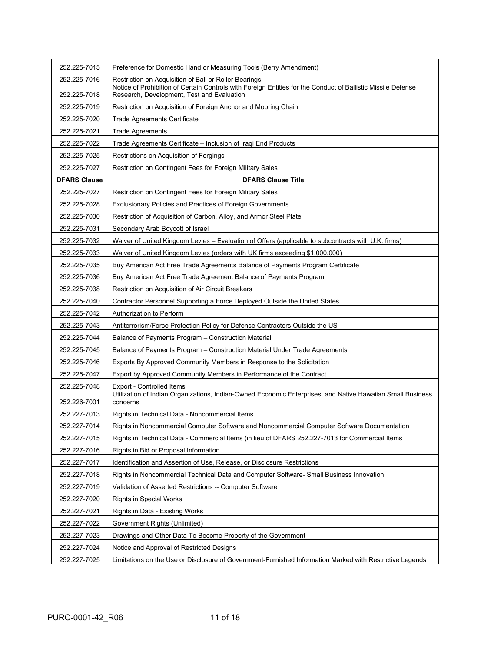| 252.225-7015        | Preference for Domestic Hand or Measuring Tools (Berry Amendment)                                                                                          |
|---------------------|------------------------------------------------------------------------------------------------------------------------------------------------------------|
| 252.225-7016        | Restriction on Acquisition of Ball or Roller Bearings                                                                                                      |
| 252.225-7018        | Notice of Prohibition of Certain Controls with Foreign Entities for the Conduct of Ballistic Missile Defense<br>Research, Development, Test and Evaluation |
| 252.225-7019        | Restriction on Acquisition of Foreign Anchor and Mooring Chain                                                                                             |
| 252.225-7020        | <b>Trade Agreements Certificate</b>                                                                                                                        |
| 252.225-7021        | <b>Trade Agreements</b>                                                                                                                                    |
| 252.225-7022        | Trade Agreements Certificate – Inclusion of Iraqi End Products                                                                                             |
| 252.225-7025        | Restrictions on Acquisition of Forgings                                                                                                                    |
| 252.225-7027        | Restriction on Contingent Fees for Foreign Military Sales                                                                                                  |
| <b>DFARS Clause</b> | <b>DFARS Clause Title</b>                                                                                                                                  |
| 252.225-7027        | Restriction on Contingent Fees for Foreign Military Sales                                                                                                  |
| 252.225-7028        | Exclusionary Policies and Practices of Foreign Governments                                                                                                 |
| 252.225-7030        | Restriction of Acquisition of Carbon, Alloy, and Armor Steel Plate                                                                                         |
| 252.225-7031        | Secondary Arab Boycott of Israel                                                                                                                           |
| 252.225-7032        | Waiver of United Kingdom Levies - Evaluation of Offers (applicable to subcontracts with U.K. firms)                                                        |
| 252.225-7033        | Waiver of United Kingdom Levies (orders with UK firms exceeding \$1,000,000)                                                                               |
| 252.225-7035        | Buy American Act Free Trade Agreements Balance of Payments Program Certificate                                                                             |
| 252.225-7036        | Buy American Act Free Trade Agreement Balance of Payments Program                                                                                          |
| 252.225-7038        | Restriction on Acquisition of Air Circuit Breakers                                                                                                         |
| 252.225-7040        | Contractor Personnel Supporting a Force Deployed Outside the United States                                                                                 |
| 252.225-7042        | Authorization to Perform                                                                                                                                   |
| 252.225-7043        | Antiterrorism/Force Protection Policy for Defense Contractors Outside the US                                                                               |
| 252.225-7044        | Balance of Payments Program - Construction Material                                                                                                        |
| 252.225-7045        | Balance of Payments Program – Construction Material Under Trade Agreements                                                                                 |
| 252.225-7046        | Exports By Approved Community Members in Response to the Solicitation                                                                                      |
| 252.225-7047        | Export by Approved Community Members in Performance of the Contract                                                                                        |
| 252.225-7048        | <b>Export - Controlled Items</b>                                                                                                                           |
| 252.226-7001        | Utilization of Indian Organizations, Indian-Owned Economic Enterprises, and Native Hawaiian Small Business<br>concerns                                     |
| 252.227-7013        | Rights in Technical Data - Noncommercial Items                                                                                                             |
| 252.227-7014        | Rights in Noncommercial Computer Software and Noncommercial Computer Software Documentation                                                                |
| 252.227-7015        | Rights in Technical Data - Commercial Items (in lieu of DFARS 252.227-7013 for Commercial Items                                                            |
| 252.227-7016        | Rights in Bid or Proposal Information                                                                                                                      |
| 252.227-7017        | Identification and Assertion of Use, Release, or Disclosure Restrictions                                                                                   |
| 252.227-7018        | Rights in Noncommercial Technical Data and Computer Software- Small Business Innovation                                                                    |
| 252.227-7019        | Validation of Asserted Restrictions -- Computer Software                                                                                                   |
| 252.227-7020        | <b>Rights in Special Works</b>                                                                                                                             |
| 252.227-7021        | Rights in Data - Existing Works                                                                                                                            |
| 252.227-7022        | Government Rights (Unlimited)                                                                                                                              |
| 252.227-7023        | Drawings and Other Data To Become Property of the Government                                                                                               |
| 252.227-7024        | Notice and Approval of Restricted Designs                                                                                                                  |
| 252.227-7025        | Limitations on the Use or Disclosure of Government-Furnished Information Marked with Restrictive Legends                                                   |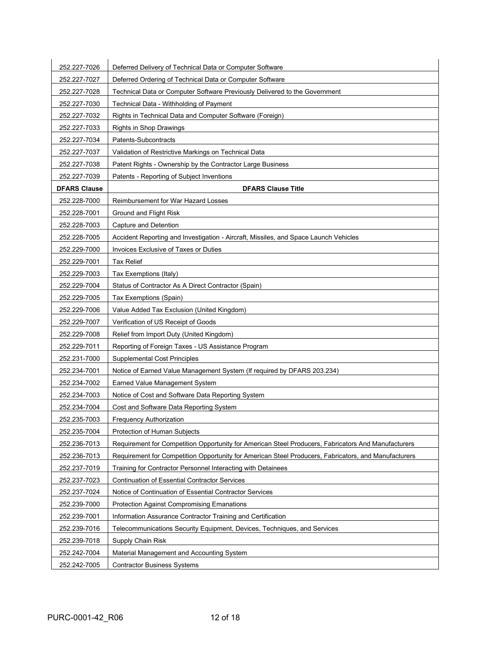| 252.227-7026        | Deferred Delivery of Technical Data or Computer Software                                             |
|---------------------|------------------------------------------------------------------------------------------------------|
| 252.227-7027        | Deferred Ordering of Technical Data or Computer Software                                             |
| 252.227-7028        | Technical Data or Computer Software Previously Delivered to the Government                           |
| 252.227-7030        | Technical Data - Withholding of Payment                                                              |
| 252.227-7032        | Rights in Technical Data and Computer Software (Foreign)                                             |
| 252.227-7033        | Rights in Shop Drawings                                                                              |
| 252.227-7034        | Patents-Subcontracts                                                                                 |
| 252.227-7037        | Validation of Restrictive Markings on Technical Data                                                 |
| 252.227-7038        | Patent Rights - Ownership by the Contractor Large Business                                           |
| 252.227-7039        | Patents - Reporting of Subject Inventions                                                            |
| <b>DFARS Clause</b> | <b>DFARS Clause Title</b>                                                                            |
| 252.228-7000        | Reimbursement for War Hazard Losses                                                                  |
| 252.228-7001        | Ground and Flight Risk                                                                               |
| 252.228-7003        | Capture and Detention                                                                                |
| 252.228-7005        | Accident Reporting and Investigation - Aircraft, Missiles, and Space Launch Vehicles                 |
| 252.229-7000        | Invoices Exclusive of Taxes or Duties                                                                |
| 252.229-7001        | <b>Tax Relief</b>                                                                                    |
| 252.229-7003        | Tax Exemptions (Italy)                                                                               |
| 252.229-7004        | Status of Contractor As A Direct Contractor (Spain)                                                  |
| 252.229-7005        | Tax Exemptions (Spain)                                                                               |
| 252.229-7006        | Value Added Tax Exclusion (United Kingdom)                                                           |
| 252.229-7007        | Verification of US Receipt of Goods                                                                  |
| 252.229-7008        | Relief from Import Duty (United Kingdom)                                                             |
| 252.229-7011        | Reporting of Foreign Taxes - US Assistance Program                                                   |
| 252.231-7000        | <b>Supplemental Cost Principles</b>                                                                  |
| 252.234-7001        | Notice of Earned Value Management System (If required by DFARS 203.234)                              |
| 252.234-7002        | Earned Value Management System                                                                       |
| 252.234-7003        | Notice of Cost and Software Data Reporting System                                                    |
| 252.234-7004        | Cost and Software Data Reporting System                                                              |
| 252.235-7003        | <b>Frequency Authorization</b>                                                                       |
| 252.235-7004        | Protection of Human Subjects                                                                         |
| 252.236-7013        | Requirement for Competition Opportunity for American Steel Producers, Fabricators And Manufacturers  |
| 252.236-7013        | Requirement for Competition Opportunity for American Steel Producers, Fabricators, and Manufacturers |
| 252.237-7019        | Training for Contractor Personnel Interacting with Detainees                                         |
| 252.237-7023        | <b>Continuation of Essential Contractor Services</b>                                                 |
| 252.237-7024        | Notice of Continuation of Essential Contractor Services                                              |
| 252.239-7000        | <b>Protection Against Compromising Emanations</b>                                                    |
| 252.239-7001        | Information Assurance Contractor Training and Certification                                          |
| 252.239-7016        | Telecommunications Security Equipment, Devices, Techniques, and Services                             |
| 252.239-7018        | Supply Chain Risk                                                                                    |
| 252.242-7004        | Material Management and Accounting System                                                            |
| 252.242-7005        | <b>Contractor Business Systems</b>                                                                   |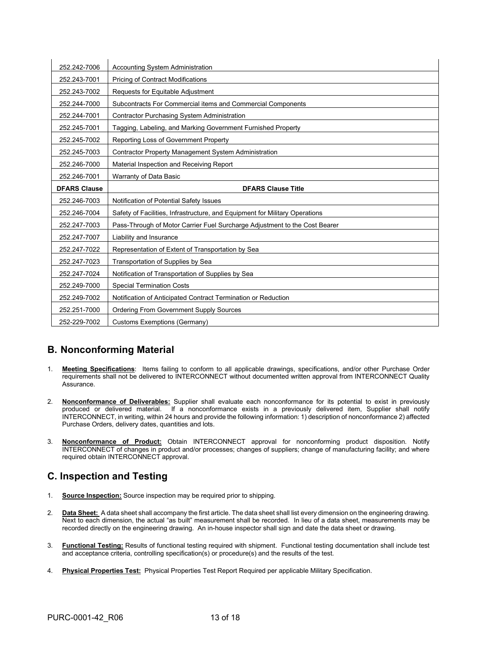| 252.242-7006        | <b>Accounting System Administration</b>                                     |
|---------------------|-----------------------------------------------------------------------------|
| 252.243-7001        | <b>Pricing of Contract Modifications</b>                                    |
| 252.243-7002        | Requests for Equitable Adjustment                                           |
| 252.244-7000        | Subcontracts For Commercial items and Commercial Components                 |
| 252.244-7001        | <b>Contractor Purchasing System Administration</b>                          |
| 252.245-7001        | Tagging, Labeling, and Marking Government Furnished Property                |
| 252.245-7002        | Reporting Loss of Government Property                                       |
| 252.245-7003        | <b>Contractor Property Management System Administration</b>                 |
| 252.246-7000        | Material Inspection and Receiving Report                                    |
| 252.246-7001        | Warranty of Data Basic                                                      |
| <b>DFARS Clause</b> | <b>DFARS Clause Title</b>                                                   |
| 252.246-7003        | Notification of Potential Safety Issues                                     |
| 252.246-7004        | Safety of Facilities, Infrastructure, and Equipment for Military Operations |
| 252.247-7003        | Pass-Through of Motor Carrier Fuel Surcharge Adjustment to the Cost Bearer  |
| 252.247-7007        | Liability and Insurance                                                     |
| 252.247-7022        | Representation of Extent of Transportation by Sea                           |
| 252.247-7023        | Transportation of Supplies by Sea                                           |
| 252.247-7024        | Notification of Transportation of Supplies by Sea                           |
| 252.249-7000        | <b>Special Termination Costs</b>                                            |
| 252.249-7002        | Notification of Anticipated Contract Termination or Reduction               |
| 252.251-7000        | <b>Ordering From Government Supply Sources</b>                              |
| 252-229-7002        | Customs Exemptions (Germany)                                                |

# **B. Nonconforming Material**

- 1. **Meeting Specifications**: Items failing to conform to all applicable drawings, specifications, and/or other Purchase Order requirements shall not be delivered to INTERCONNECT without documented written approval from INTERCONNECT Quality **Assurance**
- 2. **Nonconformance of Deliverables:** Supplier shall evaluate each nonconformance for its potential to exist in previously produced or delivered material. If a nonconformance exists in a previously delivered item, Supplier shall notify INTERCONNECT, in writing, within 24 hours and provide the following information: 1) description of nonconformance 2) affected Purchase Orders, delivery dates, quantities and lots.
- 3. **Nonconformance of Product:** Obtain INTERCONNECT approval for nonconforming product disposition. Notify INTERCONNECT of changes in product and/or processes; changes of suppliers; change of manufacturing facility; and where required obtain INTERCONNECT approval.

## **C. Inspection and Testing**

- 1. **Source Inspection:** Source inspection may be required prior to shipping.
- 2. **Data Sheet:** A data sheet shall accompany the first article. The data sheet shall list every dimension on the engineering drawing. Next to each dimension, the actual "as built" measurement shall be recorded. In lieu of a data sheet, measurements may be recorded directly on the engineering drawing. An in-house inspector shall sign and date the data sheet or drawing.
- 3. **Functional Testing:** Results of functional testing required with shipment. Functional testing documentation shall include test and acceptance criteria, controlling specification(s) or procedure(s) and the results of the test.
- 4. **Physical Properties Test:** Physical Properties Test Report Required per applicable Military Specification.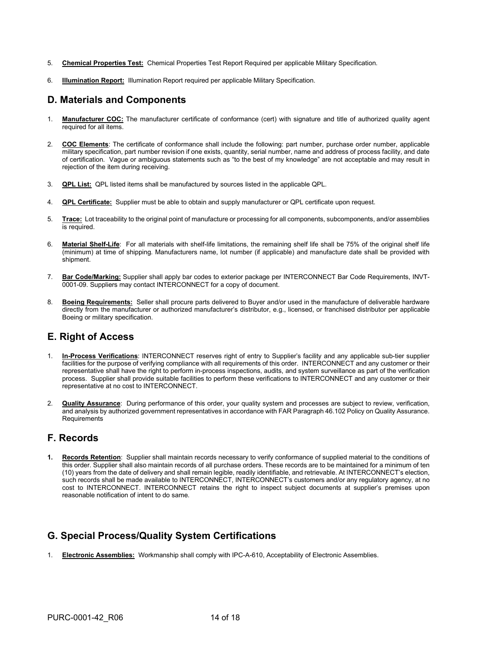- 5. **Chemical Properties Test:** Chemical Properties Test Report Required per applicable Military Specification.
- 6. **Illumination Report:** Illumination Report required per applicable Military Specification.

## **D. Materials and Components**

- 1. **Manufacturer COC:** The manufacturer certificate of conformance (cert) with signature and title of authorized quality agent required for all items.
- 2. **COC Elements**: The certificate of conformance shall include the following: part number, purchase order number, applicable military specification, part number revision if one exists, quantity, serial number, name and address of process facility, and date of certification. Vague or ambiguous statements such as "to the best of my knowledge" are not acceptable and may result in rejection of the item during receiving.
- 3. **QPL List:** QPL listed items shall be manufactured by sources listed in the applicable QPL.
- 4. **QPL Certificate:** Supplier must be able to obtain and supply manufacturer or QPL certificate upon request.
- 5. **Trace:** Lot traceability to the original point of manufacture or processing for all components, subcomponents, and/or assemblies is required.
- 6. **Material Shelf-Life**: For all materials with shelf-life limitations, the remaining shelf life shall be 75% of the original shelf life (minimum) at time of shipping. Manufacturers name, lot number (if applicable) and manufacture date shall be provided with shipment.
- 7. **Bar Code/Marking:** Supplier shall apply bar codes to exterior package per INTERCONNECT Bar Code Requirements, INVT-0001-09. Suppliers may contact INTERCONNECT for a copy of document.
- 8. **Boeing Requirements:** Seller shall procure parts delivered to Buyer and/or used in the manufacture of deliverable hardware directly from the manufacturer or authorized manufacturer's distributor, e.g., licensed, or franchised distributor per applicable Boeing or military specification.

### **E. Right of Access**

- 1. **In-Process Verifications**: INTERCONNECT reserves right of entry to Supplier's facility and any applicable sub-tier supplier facilities for the purpose of verifying compliance with all requirements of this order. INTERCONNECT and any customer or their representative shall have the right to perform in-process inspections, audits, and system surveillance as part of the verification process. Supplier shall provide suitable facilities to perform these verifications to INTERCONNECT and any customer or their representative at no cost to INTERCONNECT.
- 2. **Quality Assurance**: During performance of this order, your quality system and processes are subject to review, verification, and analysis by authorized government representatives in accordance with FAR Paragraph 46.102 Policy on Quality Assurance. Requirements

### **F. Records**

**1. Records Retention**: Supplier shall maintain records necessary to verify conformance of supplied material to the conditions of this order. Supplier shall also maintain records of all purchase orders. These records are to be maintained for a minimum of ten (10) years from the date of delivery and shall remain legible, readily identifiable, and retrievable. At INTERCONNECT's election, such records shall be made available to INTERCONNECT, INTERCONNECT's customers and/or any regulatory agency, at no cost to INTERCONNECT. INTERCONNECT retains the right to inspect subject documents at supplier's premises upon reasonable notification of intent to do same.

## **G. Special Process/Quality System Certifications**

1. **Electronic Assemblies:** Workmanship shall comply with IPC-A-610, Acceptability of Electronic Assemblies.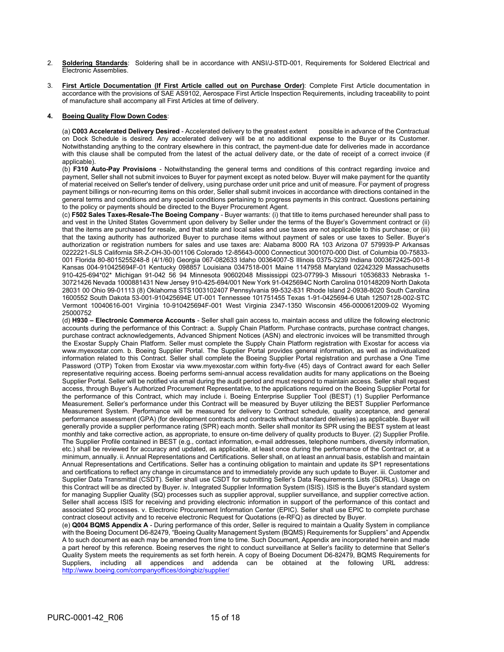- 2. **Soldering Standards**: Soldering shall be in accordance with ANSI/J-STD-001, Requirements for Soldered Electrical and Electronic Assemblies.
- 3. **First Article Documentation (If First Article called out on Purchase Order)**: Complete First Article documentation in accordance with the provisions of SAE AS9102, Aerospace First Article Inspection Requirements, including traceability to point of manufacture shall accompany all First Articles at time of delivery.

#### **4. Boeing Quality Flow Down Codes**:

(a) **C003 Accelerated Delivery Desired** - Accelerated delivery to the greatest extent possible in advance of the Contractual on Dock Schedule is desired. Any accelerated delivery will be at no additional expense to the Buyer or its Customer. Notwithstanding anything to the contrary elsewhere in this contract, the payment-due date for deliveries made in accordance with this clause shall be computed from the latest of the actual delivery date, or the date of receipt of a correct invoice (if applicable).

(b) **F310 Auto-Pay Provisions** - Notwithstanding the general terms and conditions of this contract regarding invoice and payment, Seller shall not submit invoices to Buyer for payment except as noted below. Buyer will make payment for the quantity of material received on Seller's tender of delivery, using purchase order unit price and unit of measure. For payment of progress payment billings or non-recurring items on this order, Seller shall submit invoices in accordance with directions contained in the general terms and conditions and any special conditions pertaining to progress payments in this contract. Questions pertaining to the policy or payments should be directed to the Buyer Procurement Agent.

(c) **F502 Sales Taxes-Resale-The Boeing Company** - Buyer warrants: (i) that title to items purchased hereunder shall pass to and vest in the United States Government upon delivery by Seller under the terms of the Buyer's Government contract or (ii) that the items are purchased for resale, and that state and local sales and use taxes are not applicable to this purchase; or (iii) that the taxing authority has authorized Buyer to purchase items without payment of sales or use taxes to Seller. Buyer's authorization or registration numbers for sales and use taxes are: Alabama 8000 RA 103 Arizona 07 579939-P Arkansas 0222221-SLS California SR-Z-OH-30-001106 Colorado 12-85643-0000 Connecticut 3001070-000 Dist. of Columbia 00-75833- 001 Florida 80-8015255248-8 (4/1/60) Georgia 067-082633 Idaho 00364007-S Illinois 0375-3239 Indiana 0003672425-001-8 Kansas 004-910425694F-01 Kentucky 098857 Louisiana 0347518-001 Maine 1147958 Maryland 02242329 Massachusetts 910-425-694\*02\* Michigan 91-042 56 94 Minnesota 90602048 Mississippi 023-07799-3 Missouri 10536833 Nebraska 1- 30721426 Nevada 1000881431 New Jersey 910-425-694/001 New York 91-0425694C North Carolina 010148209 North Dakota 28031 00 Ohio 99-01113 (8) Oklahoma STS1003102407 Pennsylvania 99-532-831 Rhode Island 2-0938-8020 South Carolina 1600552 South Dakota 53-001-910425694E UT-001 Tennessee 101751455 Texas 1-91-0425694-6 Utah 12507128-002-STC Vermont 10040616-001 Virginia 10-910425694F-001 West Virginia 2347-1350 Wisconsin 456-0000612009-02 Wyoming 25000752

(d) **H930 – Electronic Commerce Accounts** - Seller shall gain access to, maintain access and utilize the following electronic accounts during the performance of this Contract: a. Supply Chain Platform. Purchase contracts, purchase contract changes, purchase contract acknowledgements, Advanced Shipment Notices (ASN) and electronic invoices will be transmitted through the Exostar Supply Chain Platform. Seller must complete the Supply Chain Platform registration with Exostar for access via www.myexostar.com. b. Boeing Supplier Portal. The Supplier Portal provides general information, as well as individualized information related to this Contract. Seller shall complete the Boeing Supplier Portal registration and purchase a One Time Password (OTP) Token from Exostar via www.myexostar.com within forty-five (45) days of Contract award for each Seller representative requiring access. Boeing performs semi-annual access revalidation audits for many applications on the Boeing Supplier Portal. Seller will be notified via email during the audit period and must respond to maintain access. Seller shall request access, through Buyer's Authorized Procurement Representative, to the applications required on the Boeing Supplier Portal for the performance of this Contract, which may include i. Boeing Enterprise Supplier Tool (BEST) (1) Supplier Performance Measurement. Seller's performance under this Contract will be measured by Buyer utilizing the BEST Supplier Performance Measurement System. Performance will be measured for delivery to Contract schedule, quality acceptance, and general performance assessment (GPA) (for development contracts and contracts without standard deliveries) as applicable. Buyer will generally provide a supplier performance rating (SPR) each month. Seller shall monitor its SPR using the BEST system at least monthly and take corrective action, as appropriate, to ensure on-time delivery of quality products to Buyer. (2) Supplier Profile. The Supplier Profile contained in BEST (e.g., contact information, e-mail addresses, telephone numbers, diversity information, etc.) shall be reviewed for accuracy and updated, as applicable, at least once during the performance of the Contract or, at a minimum, annually. ii. Annual Representations and Certifications. Seller shall, on at least an annual basis, establish and maintain Annual Representations and Certifications. Seller has a continuing obligation to maintain and update its SP1 representations and certifications to reflect any change in circumstance and to immediately provide any such update to Buyer. iii. Customer and Supplier Data Transmittal (CSDT). Seller shall use CSDT for submitting Seller's Data Requirements Lists (SDRLs). Usage on this Contract will be as directed by Buyer. iv. Integrated Supplier Information System (ISIS). ISIS is the Buyer's standard system for managing Supplier Quality (SQ) processes such as supplier approval, supplier surveillance, and supplier corrective action. Seller shall access ISIS for receiving and providing electronic information in support of the performance of this contact and associated SQ processes. v. Electronic Procurement Information Center (EPIC). Seller shall use EPIC to complete purchase contract closeout activity and to receive electronic Request for Quotations (e-RFQ) as directed by Buyer.

(e) **Q004 BQMS Appendix A** - During performance of this order, Seller is required to maintain a Quality System in compliance with the Boeing Document D6-82479, "Boeing Quality Management System (BQMS) Requirements for Suppliers" and Appendix A to such document as each may be amended from time to time. Such Document, Appendix are incorporated herein and made a part hereof by this reference. Boeing reserves the right to conduct surveillance at Seller's facility to determine that Seller's Quality System meets the requirements as set forth herein. A copy of Boeing Document D6-82479, BQMS Requirements for Suppliers, including all appendices and addenda can be obtained at the following URL address: <http://www.boeing.com/companyoffices/doingbiz/supplier/>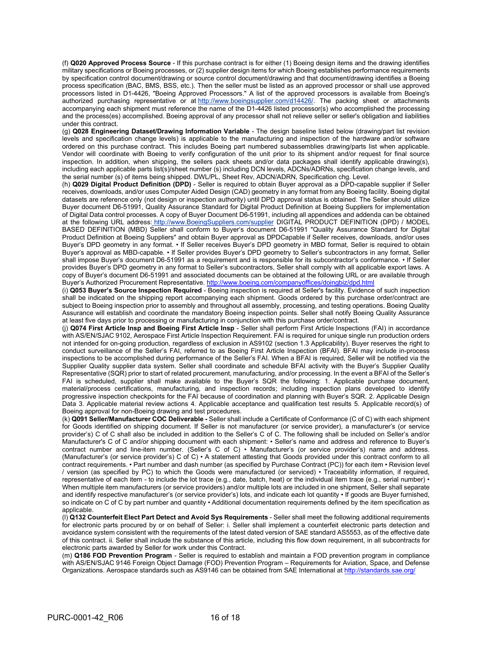(f) **Q020 Approved Process Source** - If this purchase contract is for either (1) Boeing design items and the drawing identifies military specifications or Boeing processes, or (2) supplier design items for which Boeing establishes performance requirements by specification control document/drawing or source control document/drawing and that document/drawing identifies a Boeing process specification (BAC, BMS, BSS, etc.). Then the seller must be listed as an approved processor or shall use approved processors listed in D1-4426, "Boeing Approved Processors." A list of the approved processors is available from Boeing's authorized purchasing representative or at [http://www.boeingsupplier.com/d14426/.](https://www.boeingsuppliers.com/d14426/index.html) The packing sheet or attachments accompanying each shipment must reference the name of the D1-4426 listed processor(s) who accomplished the processing and the process(es) accomplished. Boeing approval of any processor shall not relieve seller or seller's obligation and liabilities under this contract.

(g) **Q028 Engineering Dataset/Drawing Information Variable** - The design baseline listed below (drawing/part list revision levels and specification change levels) is applicable to the manufacturing and inspection of the hardware and/or software ordered on this purchase contract. This includes Boeing part numbered subassemblies drawing/parts list when applicable. Vendor will coordinate with Boeing to verify configuration of the unit prior to its shipment and/or request for final source inspection. In addition, when shipping, the sellers pack sheets and/or data packages shall identify applicable drawing(s), including each applicable parts list(s)/sheet number (s) including DCN levels, ADCNs/ADRNs, specification change levels, and the serial number (s) of items being shipped. DWL/PL, Sheet Rev, ADCN/ADRN, Specification chg. Level.

(h) **Q029 Digital Product Definition (DPD)** - Seller is required to obtain Buyer approval as a DPD-capable supplier if Seller receives, downloads, and/or uses Computer Aided Design (CAD) geometry in any format from any Boeing facility. Boeing digital datasets are reference only (not design or inspection authority) until DPD approval status is obtained. The Seller should utilize Buyer document D6-51991, Quality Assurance Standard for Digital Product Definition at Boeing Suppliers for implementation of Digital Data control processes. A copy of Buyer Document D6-51991, including all appendices and addenda can be obtained at the following URL address[:](https://www.boeingsuppliers.com/supplier/index.html) [http://www.BoeingSuppliers.com/supplier](https://www.boeingsuppliers.com/supplier/index.htm) DIGITAL PRODUCT DEFINITION (DPD) / MODEL BASED DEFINITION (MBD) Seller shall conform to Buyer's document D6-51991 "Quality Assurance Standard for Digital Product Definition at Boeing Suppliers" and obtain Buyer approval as DPDCapable if Seller receives, downloads, and/or uses Buyer's DPD geometry in any format. • If Seller receives Buyer's DPD geometry in MBD format, Seller is required to obtain Buyer's approval as MBD-capable. • If Seller provides Buyer's DPD geometry to Seller's subcontractors in any format, Seller shall impose Buyer's document D6-51991 as a requirement and is responsible for its subcontractor's conformance. • If Seller provides Buyer's DPD geometry in any format to Seller's subcontractors, Seller shall comply with all applicable export laws. A copy of Buyer's document D6-51991 and associated documents can be obtained at the following URL or are available through Buyer's Authorized Procurement Representative[. http://www.boeing.com/companyoffices/doingbiz/dpd.html](http://www.boeing.com/companyoffices/doingbiz/dpd.html) 

(i) **Q053 Buyer's Source Inspection Required** - Boeing inspection is required at Seller's facility. Evidence of such inspection shall be indicated on the shipping report accompanying each shipment. Goods ordered by this purchase order/contract are subject to Boeing inspection prior to assembly and throughout all assembly, processing, and testing operations. Boeing Quality Assurance will establish and coordinate the mandatory Boeing inspection points. Seller shall notify Boeing Quality Assurance at least five days prior to processing or manufacturing in conjunction with this purchase order/contract.

(j) **Q074 First Article Insp and Boeing First Article Insp** - Seller shall perform First Article Inspections (FAI) in accordance with AS/EN/SJAC 9102, Aerospace First Article Inspection Requirement. FAI is required for unique single run production orders not intended for on-going production, regardless of exclusion in AS9102 (section 1.3 Applicability). Buyer reserves the right to conduct surveillance of the Seller's FAI, referred to as Boeing First Article Inspection (BFAI). BFAI may include in-process inspections to be accomplished during performance of the Seller's FAI. When a BFAI is required, Seller will be notified via the Supplier Quality supplier data system. Seller shall coordinate and schedule BFAI activity with the Buyer's Supplier Quality Representative (SQR) prior to start of related procurement, manufacturing, and/or processing. In the event a BFAI of the Seller's FAI is scheduled, supplier shall make available to the Buyer's SQR the following: 1. Applicable purchase document, material/process certifications, manufacturing, and inspection records; including inspection plans developed to identify progressive inspection checkpoints for the FAI because of coordination and planning with Buyer's SQR. 2. Applicable Design Data 3. Applicable material review actions 4. Applicable acceptance and qualification test results 5. Applicable record(s) of Boeing approval for non-Boeing drawing and test procedures.

(k) **Q091 Seller/Manufacturer COC Deliverable -** Seller shall include a Certificate of Conformance (C of C) with each shipment for Goods identified on shipping document. If Seller is not manufacturer (or service provider), a manufacturer's (or service provider's) C of C shall also be included in addition to the Seller's C of C. The following shall be included on Seller's and/or Manufacturer's C of C and/or shipping document with each shipment: • Seller's name and address and reference to Buyer's contract number and line-item number. (Seller's C of C) • Manufacturer's (or service provider's) name and address. (Manufacturer's (or service provider's) C of C) • A statement attesting that Goods provided under this contract conform to all contract requirements. • Part number and dash number (as specified by Purchase Contract (PC)) for each item • Revision level / version (as specified by PC) to which the Goods were manufactured (or serviced) • Traceability information, if required, representative of each item - to include the lot trace (e.g., date, batch, heat) or the individual item trace (e.g., serial number) • When multiple item manufacturers (or service providers) and/or multiple lots are included in one shipment, Seller shall separate and identify respective manufacturer's (or service provider's) lots, and indicate each lot quantity • If goods are Buyer furnished, so indicate on C of C by part number and quantity • Additional documentation requirements defined by the item specification as applicable.

(l) **Q132 Counterfeit Elect Part Detect and Avoid Sys Requirements** - Seller shall meet the following additional requirements for electronic parts procured by or on behalf of Seller: i. Seller shall implement a counterfeit electronic parts detection and avoidance system consistent with the requirements of the latest dated version of SAE standard AS5553, as of the effective date of this contract. ii. Seller shall include the substance of this article, including this flow down requirement, in all subcontracts for electronic parts awarded by Seller for work under this Contract.

(m) **Q186 FOD Prevention Program** - Seller is required to establish and maintain a FOD prevention program in compliance with AS/EN/SJAC 9146 Foreign Object Damage (FOD) Prevention Program – Requirements for Aviation, Space, and Defense Organizations. Aerospace standards such as AS9146 can be obtained from SAE International a[t http://standards.sae.org/](http://standards.sae.org/)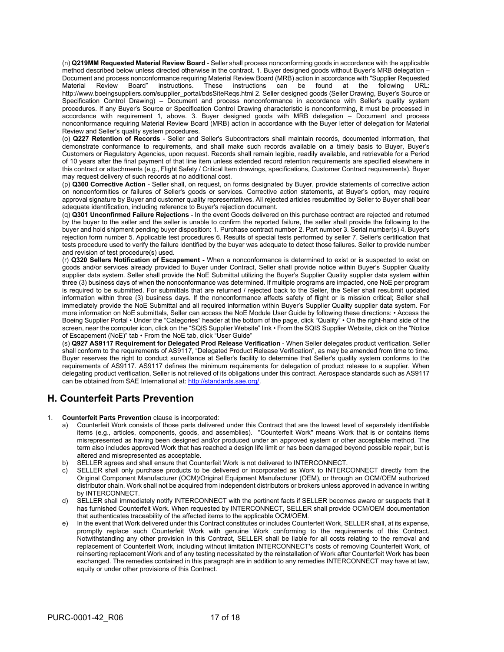(n) **Q219MM Requested Material Review Board** - Seller shall process nonconforming goods in accordance with the applicable method described below unless directed otherwise in the contract. 1. Buyer designed goods without Buyer's MRB delegation – Document and process nonconformance requiring Material Review Board (MRB) action in accordance with "Supplier Requested instructions. These instructions can be http://www.boeingsuppliers.com/supplier\_portal/bdsSiteReqs.html 2. Seller designed goods (Seller Drawing, Buyer's Source or Specification Control Drawing) – Document and process nonconformance in accordance with Seller's quality system procedures. If any Buyer's Source or Specification Control Drawing characteristic is nonconforming, it must be processed in accordance with requirement 1, above. 3. Buyer designed goods with MRB delegation – Document and process nonconformance requiring Material Review Board (MRB) action in accordance with the Buyer letter of delegation for Material Review and Seller's quality system procedures.

(o) **Q227 Retention of Records** - Seller and Seller's Subcontractors shall maintain records, documented information, that demonstrate conformance to requirements, and shall make such records available on a timely basis to Buyer, Buyer's Customers or Regulatory Agencies, upon request. Records shall remain legible, readily available, and retrievable for a Period of 10 years after the final payment of that line item unless extended record retention requirements are specified elsewhere in this contract or attachments (e.g., Flight Safety / Critical Item drawings, specifications, Customer Contract requirements). Buyer may request delivery of such records at no additional cost.

(p) **Q300 Corrective Action** - Seller shall, on request, on forms designated by Buyer, provide statements of corrective action on nonconformities or failures of Seller's goods or services. Corrective action statements, at Buyer's option, may require approval signature by Buyer and customer quality representatives. All rejected articles resubmitted by Seller to Buyer shall bear adequate identification, including reference to Buyer's rejection document.

(q) **Q301 Unconfirmed Failure Rejections** - In the event Goods delivered on this purchase contract are rejected and returned by the buyer to the seller and the seller is unable to confirm the reported failure, the seller shall provide the following to the buyer and hold shipment pending buyer disposition: 1. Purchase contract number 2. Part number 3. Serial number(s) 4. Buyer's rejection form number 5. Applicable test procedures 6. Results of special tests performed by seller 7. Seller's certification that tests procedure used to verify the failure identified by the buyer was adequate to detect those failures. Seller to provide number and revision of test procedure(s) used.

(r) **Q320 Sellers Notification of Escapement -** When a nonconformance is determined to exist or is suspected to exist on goods and/or services already provided to Buyer under Contract, Seller shall provide notice within Buyer's Supplier Quality supplier data system. Seller shall provide the NoE Submittal utilizing the Buyer's Supplier Quality supplier data system within three (3) business days of when the nonconformance was determined. If multiple programs are impacted, one NoE per program is required to be submitted. For submittals that are returned / rejected back to the Seller, the Seller shall resubmit updated information within three (3) business days. If the nonconformance affects safety of flight or is mission critical; Seller shall immediately provide the NoE Submittal and all required information within Buyer's Supplier Quality supplier data system. For more information on NoE submittals, Seller can access the NoE Module User Guide by following these directions: • Access the Boeing Supplier Portal • Under the "Categories" header at the bottom of the page, click "Quality" • On the right-hand side of the screen, near the computer icon, click on the "SQIS Supplier Website" link • From the SQIS Supplier Website, click on the "Notice of Escapement (NoE)" tab • From the NoE tab, click "User Guide"

(s) **Q927 AS9117 Requirement for Delegated Prod Release Verification** - When Seller delegates product verification, Seller shall conform to the requirements of AS9117, "Delegated Product Release Verification", as may be amended from time to time. Buyer reserves the right to conduct surveillance at Seller's facility to determine that Seller's quality system conforms to the requirements of AS9117. AS9117 defines the minimum requirements for delegation of product release to a supplier. When delegating product verification, Seller is not relieved of its obligations under this contract. Aerospace standards such as AS9117 can be obtained from SAE International at[: http://standards.sae.org/.](http://standards.sae.org/)

# **H. Counterfeit Parts Prevention**

1. **Counterfeit Parts Prevention** clause is incorporated:

- a) Counterfeit Work consists of those parts delivered under this Contract that are the lowest level of separately identifiable items (e.g., articles, components, goods, and assemblies). "Counterfeit Work" means Work that is or contains items misrepresented as having been designed and/or produced under an approved system or other acceptable method. The term also includes approved Work that has reached a design life limit or has been damaged beyond possible repair, but is altered and misrepresented as acceptable.
- b) SELLER agrees and shall ensure that Counterfeit Work is not delivered to INTERCONNECT.
- c) SELLER shall only purchase products to be delivered or incorporated as Work to INTERCONNECT directly from the Original Component Manufacturer (OCM)/Original Equipment Manufacturer (OEM), or through an OCM/OEM authorized distributor chain. Work shall not be acquired from independent distributors or brokers unless approved in advance in writing by INTERCONNECT.
- d) SELLER shall immediately notify INTERCONNECT with the pertinent facts if SELLER becomes aware or suspects that it has furnished Counterfeit Work. When requested by INTERCONNECT, SELLER shall provide OCM/OEM documentation that authenticates traceability of the affected items to the applicable OCM/OEM.
- e) In the event that Work delivered under this Contract constitutes or includes Counterfeit Work, SELLER shall, at its expense, promptly replace such Counterfeit Work with genuine Work conforming to the requirements of this Contract. Notwithstanding any other provision in this Contract, SELLER shall be liable for all costs relating to the removal and replacement of Counterfeit Work, including without limitation INTERCONNECT's costs of removing Counterfeit Work, of reinserting replacement Work and of any testing necessitated by the reinstallation of Work after Counterfeit Work has been exchanged. The remedies contained in this paragraph are in addition to any remedies INTERCONNECT may have at law, equity or under other provisions of this Contract.